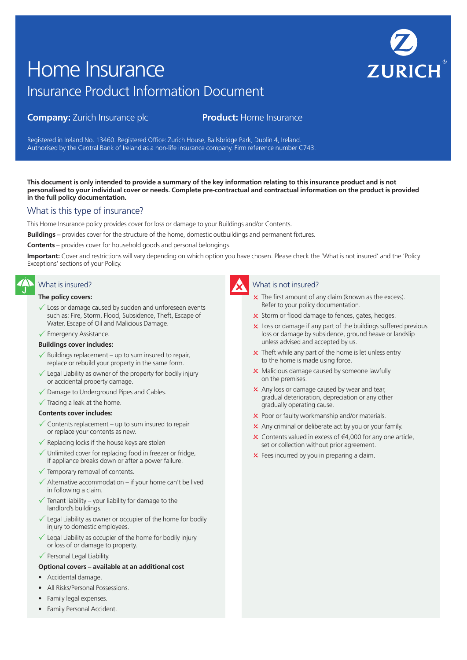# Insurance Product Information Document Home Insurance

# **Company:** Zurich Insurance plc **Product:** Home Insurance

Registered in Ireland No. 13460. Registered Office: Zurich House, Ballsbridge Park, Dublin 4, Ireland. Authorised by the Central Bank of Ireland as a non-life insurance company. Firm reference number C743.

**This document is only intended to provide a summary of the key information relating to this insurance product and is not personalised to your individual cover or needs. Complete pre-contractual and contractual information on the product is provided in the full policy documentation.**

# What is this type of insurance?

This Home Insurance policy provides cover for loss or damage to your Buildings and/or Contents.

**Buildings** – provides cover for the structure of the home, domestic outbuildings and permanent fixtures.

**Contents** – provides cover for household goods and personal belongings.

**Important:** Cover and restrictions will vary depending on which option you have chosen. Please check the 'What is not insured' and the 'Policy Exceptions' sections of your Policy.

# What is insured?

### **The policy covers:**

- $\checkmark$  Loss or damage caused by sudden and unforeseen events such as: Fire, Storm, Flood, Subsidence, Theft, Escape of Water, Escape of Oil and Malicious Damage.
- $\checkmark$  Emergency Assistance.

#### **Buildings cover includes:**

- $\checkmark$  Buildings replacement up to sum insured to repair, replace or rebuild your property in the same form.
- $\checkmark$  Legal Liability as owner of the property for bodily injury or accidental property damage.
- $\sqrt{\ }$  Damage to Underground Pipes and Cables.
- $\checkmark$  Tracing a leak at the home.

#### **Contents cover includes:**

- $\checkmark$  Contents replacement up to sum insured to repair or replace your contents as new.
- $\checkmark$  Replacing locks if the house keys are stolen
- Unlimited cover for replacing food in freezer or fridge, if appliance breaks down or after a power failure.
- $\checkmark$  Temporary removal of contents.
- $\checkmark$  Alternative accommodation if your home can't be lived in following a claim.
- Tenant liability your liability for damage to the landlord's buildings.
- Legal Liability as owner or occupier of the home for bodily injury to domestic employees.
- Legal Liability as occupier of the home for bodily injury or loss of or damage to property.
- $\checkmark$  Personal Legal Liability.

#### **Optional covers – available at an additional cost**

- Accidental damage.
- All Risks/Personal Possessions.
- Family legal expenses.
- Family Personal Accident.



#### What is not insured?

- $\times$  The first amount of any claim (known as the excess). Refer to your policy documentation.
- x Storm or flood damage to fences, gates, hedges.
- $\times$  Loss or damage if any part of the buildings suffered previous loss or damage by subsidence, ground heave or landslip unless advised and accepted by us.
- $\times$  Theft while any part of the home is let unless entry to the home is made using force.
- $\times$  Malicious damage caused by someone lawfully on the premises.
- x Any loss or damage caused by wear and tear, gradual deterioration, depreciation or any other gradually operating cause.
- **x** Poor or faulty workmanship and/or materials.
- **x** Any criminal or deliberate act by you or your family.
- $\boldsymbol{\times}$  Contents valued in excess of €4,000 for any one article. set or collection without prior agreement.
- $\times$  Fees incurred by you in preparing a claim.